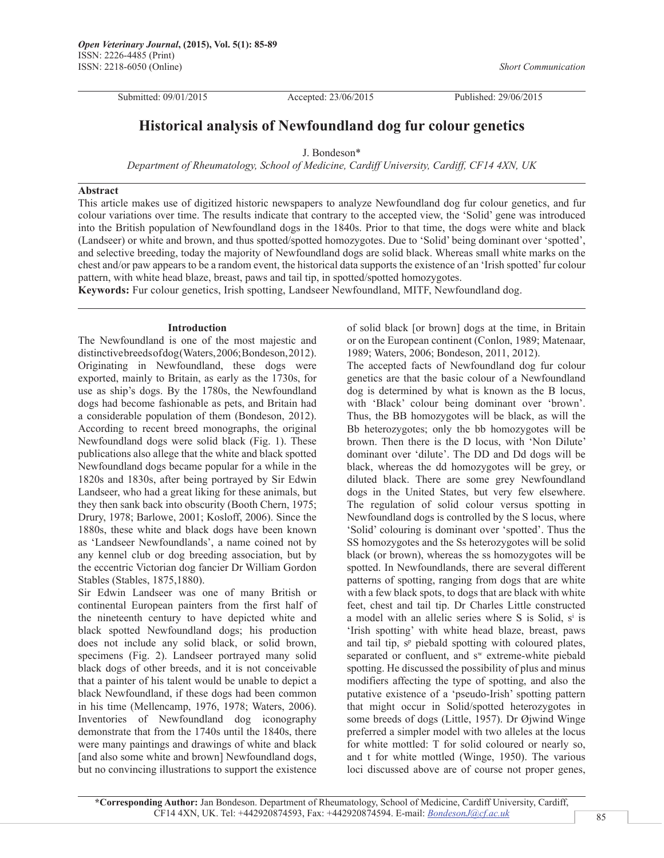Submitted: 09/01/2015 Accepted: 23/06/2015 Published: 29/06/2015

*Short Communication*

# **Historical analysis of Newfoundland dog fur colour genetics**

J. Bondeson\*

*Department of Rheumatology, School of Medicine, Cardiff University, Cardiff, CF14 4XN, UK*

# **Abstract**

This article makes use of digitized historic newspapers to analyze Newfoundland dog fur colour genetics, and fur colour variations over time. The results indicate that contrary to the accepted view, the 'Solid' gene was introduced into the British population of Newfoundland dogs in the 1840s. Prior to that time, the dogs were white and black (Landseer) or white and brown, and thus spotted/spotted homozygotes. Due to 'Solid' being dominant over 'spotted', and selective breeding, today the majority of Newfoundland dogs are solid black. Whereas small white marks on the chest and/or paw appears to be a random event, the historical data supports the existence of an 'Irish spotted' fur colour pattern, with white head blaze, breast, paws and tail tip, in spotted/spotted homozygotes.

**Keywords:** Fur colour genetics, Irish spotting, Landseer Newfoundland, MITF, Newfoundland dog.

## **Introduction**

The Newfoundland is one of the most majestic and distinctive breeds of dog (Waters, 2006; Bondeson, 2012). Originating in Newfoundland, these dogs were exported, mainly to Britain, as early as the 1730s, for use as ship's dogs. By the 1780s, the Newfoundland dogs had become fashionable as pets, and Britain had a considerable population of them (Bondeson, 2012). According to recent breed monographs, the original Newfoundland dogs were solid black (Fig. 1). These publications also allege that the white and black spotted Newfoundland dogs became popular for a while in the 1820s and 1830s, after being portrayed by Sir Edwin Landseer, who had a great liking for these animals, but they then sank back into obscurity (Booth Chern, 1975; Drury, 1978; Barlowe, 2001; Kosloff, 2006). Since the 1880s, these white and black dogs have been known as 'Landseer Newfoundlands', a name coined not by any kennel club or dog breeding association, but by the eccentric Victorian dog fancier Dr William Gordon Stables (Stables, 1875,1880).

Sir Edwin Landseer was one of many British or continental European painters from the first half of the nineteenth century to have depicted white and black spotted Newfoundland dogs; his production does not include any solid black, or solid brown, specimens (Fig. 2). Landseer portrayed many solid black dogs of other breeds, and it is not conceivable that a painter of his talent would be unable to depict a black Newfoundland, if these dogs had been common in his time (Mellencamp, 1976, 1978; Waters, 2006). Inventories of Newfoundland dog iconography demonstrate that from the 1740s until the 1840s, there were many paintings and drawings of white and black [and also some white and brown] Newfoundland dogs, but no convincing illustrations to support the existence of solid black [or brown] dogs at the time, in Britain or on the European continent (Conlon, 1989; Matenaar, 1989; Waters, 2006; Bondeson, 2011, 2012).

The accepted facts of Newfoundland dog fur colour genetics are that the basic colour of a Newfoundland dog is determined by what is known as the B locus, with 'Black' colour being dominant over 'brown'. Thus, the BB homozygotes will be black, as will the Bb heterozygotes; only the bb homozygotes will be brown. Then there is the D locus, with 'Non Dilute' dominant over 'dilute'. The DD and Dd dogs will be black, whereas the dd homozygotes will be grey, or diluted black. There are some grey Newfoundland dogs in the United States, but very few elsewhere. The regulation of solid colour versus spotting in Newfoundland dogs is controlled by the S locus, where 'Solid' colouring is dominant over 'spotted'. Thus the SS homozygotes and the Ss heterozygotes will be solid black (or brown), whereas the ss homozygotes will be spotted. In Newfoundlands, there are several different patterns of spotting, ranging from dogs that are white with a few black spots, to dogs that are black with white feet, chest and tail tip. Dr Charles Little constructed a model with an allelic series where S is Solid, s<sup>i</sup> is 'Irish spotting' with white head blaze, breast, paws and tail tip, s<sup>p</sup> piebald spotting with coloured plates, separated or confluent, and s<sup>w</sup> extreme-white piebald spotting. He discussed the possibility of plus and minus modifiers affecting the type of spotting, and also the putative existence of a 'pseudo-Irish' spotting pattern that might occur in Solid/spotted heterozygotes in some breeds of dogs (Little, 1957). Dr Øjwind Winge preferred a simpler model with two alleles at the locus for white mottled: T for solid coloured or nearly so, and t for white mottled (Winge, 1950). The various loci discussed above are of course not proper genes,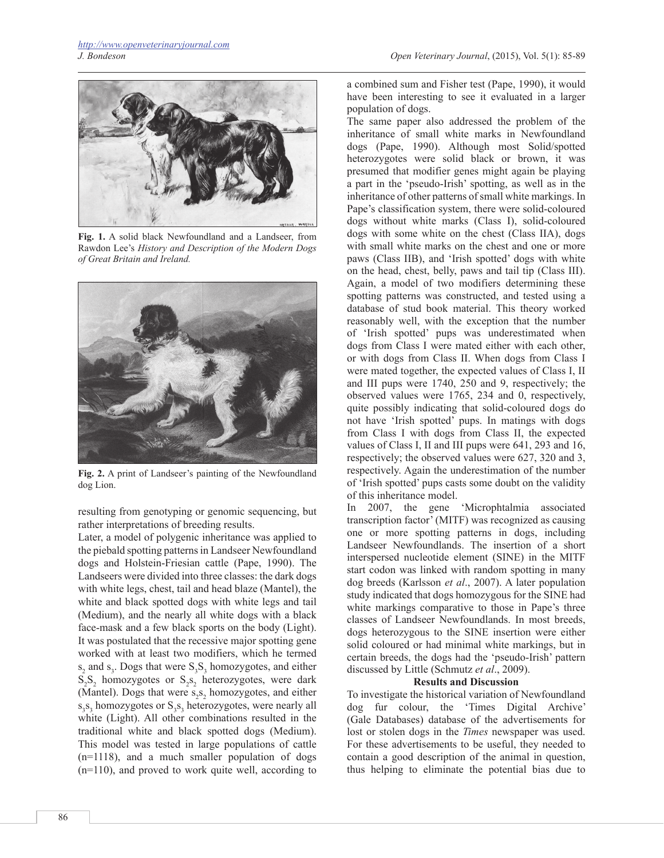

**Fig. 1.** A solid black Newfoundland and a Landseer, from Rawdon Lee's *History and Description of the Modern Dogs of Great Britain and Ireland.*



**Fig. 2.** A print of Landseer's painting of the Newfoundland dog Lion.

resulting from genotyping or genomic sequencing, but rather interpretations of breeding results.

Later, a model of polygenic inheritance was applied to the piebald spotting patterns in Landseer Newfoundland dogs and Holstein-Friesian cattle (Pape, 1990). The Landseers were divided into three classes: the dark dogs with white legs, chest, tail and head blaze (Mantel), the white and black spotted dogs with white legs and tail (Medium), and the nearly all white dogs with a black face-mask and a few black sports on the body (Light). It was postulated that the recessive major spotting gene worked with at least two modifiers, which he termed  $s_2$  and  $s_3$ . Dogs that were  $S_3S_3$  homozygotes, and either  $S_2S_2$  homozygotes or  $S_2S_2$  heterozygotes, were dark (Mantel). Dogs that were  $s_2s_2$  homozygotes, and either s<sub>3</sub>S<sub>3</sub> homozygotes or S<sub>3</sub>S<sub>3</sub> heterozygotes, were nearly all white (Light). All other combinations resulted in the traditional white and black spotted dogs (Medium). This model was tested in large populations of cattle (n=1118), and a much smaller population of dogs (n=110), and proved to work quite well, according to

a combined sum and Fisher test (Pape, 1990), it would have been interesting to see it evaluated in a larger population of dogs.

The same paper also addressed the problem of the inheritance of small white marks in Newfoundland dogs (Pape, 1990). Although most Solid/spotted heterozygotes were solid black or brown, it was presumed that modifier genes might again be playing a part in the 'pseudo-Irish' spotting, as well as in the inheritance of other patterns of small white markings. In Pape's classification system, there were solid-coloured dogs without white marks (Class I), solid-coloured dogs with some white on the chest (Class IIA), dogs with small white marks on the chest and one or more paws (Class IIB), and 'Irish spotted' dogs with white on the head, chest, belly, paws and tail tip (Class III). Again, a model of two modifiers determining these spotting patterns was constructed, and tested using a database of stud book material. This theory worked reasonably well, with the exception that the number of 'Irish spotted' pups was underestimated when dogs from Class I were mated either with each other, or with dogs from Class II. When dogs from Class I were mated together, the expected values of Class I, II and III pups were 1740, 250 and 9, respectively; the observed values were 1765, 234 and 0, respectively, quite possibly indicating that solid-coloured dogs do not have 'Irish spotted' pups. In matings with dogs from Class I with dogs from Class II, the expected values of Class I, II and III pups were 641, 293 and 16, respectively; the observed values were 627, 320 and 3, respectively. Again the underestimation of the number of 'Irish spotted' pups casts some doubt on the validity of this inheritance model.

In 2007, the gene 'Microphtalmia associated transcription factor' (MITF) was recognized as causing one or more spotting patterns in dogs, including Landseer Newfoundlands. The insertion of a short interspersed nucleotide element (SINE) in the MITF start codon was linked with random spotting in many dog breeds (Karlsson *et al*., 2007). A later population study indicated that dogs homozygous for the SINE had white markings comparative to those in Pape's three classes of Landseer Newfoundlands. In most breeds, dogs heterozygous to the SINE insertion were either solid coloured or had minimal white markings, but in certain breeds, the dogs had the 'pseudo-Irish' pattern discussed by Little (Schmutz *et al*., 2009).

### **Results and Discussion**

To investigate the historical variation of Newfoundland dog fur colour, the 'Times Digital Archive' (Gale Databases) database of the advertisements for lost or stolen dogs in the *Times* newspaper was used. For these advertisements to be useful, they needed to contain a good description of the animal in question, thus helping to eliminate the potential bias due to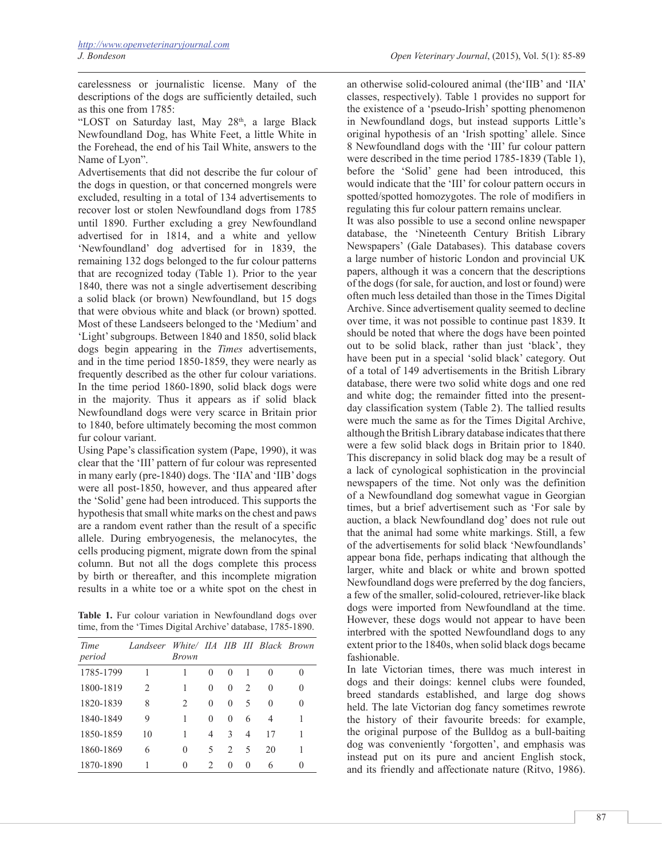carelessness or journalistic license. Many of the descriptions of the dogs are sufficiently detailed, such as this one from 1785:

"LOST on Saturday last, May 28<sup>th</sup>, a large Black Newfoundland Dog, has White Feet, a little White in the Forehead, the end of his Tail White, answers to the Name of Lyon".

Advertisements that did not describe the fur colour of the dogs in question, or that concerned mongrels were excluded, resulting in a total of 134 advertisements to recover lost or stolen Newfoundland dogs from 1785 until 1890. Further excluding a grey Newfoundland advertised for in 1814, and a white and yellow 'Newfoundland' dog advertised for in 1839, the remaining 132 dogs belonged to the fur colour patterns that are recognized today (Table 1). Prior to the year 1840, there was not a single advertisement describing a solid black (or brown) Newfoundland, but 15 dogs that were obvious white and black (or brown) spotted. Most of these Landseers belonged to the 'Medium' and 'Light' subgroups. Between 1840 and 1850, solid black dogs begin appearing in the *Times* advertisements, and in the time period 1850-1859, they were nearly as frequently described as the other fur colour variations. In the time period 1860-1890, solid black dogs were in the majority. Thus it appears as if solid black Newfoundland dogs were very scarce in Britain prior to 1840, before ultimately becoming the most common fur colour variant.

Using Pape's classification system (Pape, 1990), it was clear that the 'III' pattern of fur colour was represented in many early (pre-1840) dogs. The 'IIA' and 'IIB' dogs were all post-1850, however, and thus appeared after the 'Solid' gene had been introduced. This supports the hypothesis that small white marks on the chest and paws are a random event rather than the result of a specific allele. During embryogenesis, the melanocytes, the cells producing pigment, migrate down from the spinal column. But not all the dogs complete this process by birth or thereafter, and this incomplete migration results in a white toe or a white spot on the chest in

Table 1. Fur colour variation in Newfoundland dogs over time, from the 'Times Digital Archive' database, 1785-1890.

| Time      | Landseer       |                               |                               |               |                               |    | White/ IIA IIB III Black Brown |
|-----------|----------------|-------------------------------|-------------------------------|---------------|-------------------------------|----|--------------------------------|
| period    |                | Brown                         |                               |               |                               |    |                                |
| 1785-1799 | 1              |                               | 0                             | $\Omega$      |                               | 0  |                                |
| 1800-1819 | $\mathfrak{D}$ | 1                             | $\Omega$                      | $\theta$      | $\mathfrak{D}_{\mathfrak{p}}$ | 0  | 0                              |
| 1820-1839 | 8              | $\mathfrak{D}_{\mathfrak{p}}$ | $\Omega$                      | $\theta$      | 5                             | 0  | 0                              |
| 1840-1849 | 9              | 1                             | $\Omega$                      | $\Omega$      | 6                             | 4  |                                |
| 1850-1859 | 10             | 1                             | 4                             | $\mathcal{E}$ | 4                             | 17 |                                |
| 1860-1869 | 6              | 0                             | 5                             | 2             | 5                             | 20 |                                |
| 1870-1890 |                | 0                             | $\mathfrak{D}_{\mathfrak{p}}$ | $\Omega$      | $\Omega$                      | 6  | 0                              |

an otherwise solid-coloured animal (the'IIB' and 'IIA' classes, respectively). Table 1 provides no support for the existence of a 'pseudo-Irish' spotting phenomenon in Newfoundland dogs, but instead supports Little's original hypothesis of an 'Irish spotting' allele. Since 8 Newfoundland dogs with the 'III' fur colour pattern were described in the time period 1785-1839 (Table 1), before the 'Solid' gene had been introduced, this would indicate that the 'III' for colour pattern occurs in spotted/spotted homozygotes. The role of modifiers in regulating this fur colour pattern remains unclear.

It was also possible to use a second online newspaper database, the 'Nineteenth Century British Library Newspapers' (Gale Databases). This database covers a large number of historic London and provincial UK papers, although it was a concern that the descriptions of the dogs (for sale, for auction, and lost or found) were often much less detailed than those in the Times Digital Archive. Since advertisement quality seemed to decline over time, it was not possible to continue past 1839. It should be noted that where the dogs have been pointed out to be solid black, rather than just 'black', they have been put in a special 'solid black' category. Out of a total of 149 advertisements in the British Library database, there were two solid white dogs and one red and white dog; the remainder fitted into the presentday classification system (Table 2). The tallied results were much the same as for the Times Digital Archive, although the British Library database indicates that there were a few solid black dogs in Britain prior to 1840. This discrepancy in solid black dog may be a result of a lack of cynological sophistication in the provincial newspapers of the time. Not only was the definition of a Newfoundland dog somewhat vague in Georgian times, but a brief advertisement such as 'For sale by auction, a black Newfoundland dog' does not rule out that the animal had some white markings. Still, a few of the advertisements for solid black 'Newfoundlands' appear bona fide, perhaps indicating that although the larger, white and black or white and brown spotted Newfoundland dogs were preferred by the dog fanciers, a few of the smaller, solid-coloured, retriever-like black dogs were imported from Newfoundland at the time. However, these dogs would not appear to have been interbred with the spotted Newfoundland dogs to any extent prior to the 1840s, when solid black dogs became fashionable.

In late Victorian times, there was much interest in dogs and their doings: kennel clubs were founded, breed standards established, and large dog shows held. The late Victorian dog fancy sometimes rewrote the history of their favourite breeds: for example, the original purpose of the Bulldog as a bull-baiting dog was conveniently 'forgotten', and emphasis was instead put on its pure and ancient English stock, and its friendly and affectionate nature (Ritvo, 1986).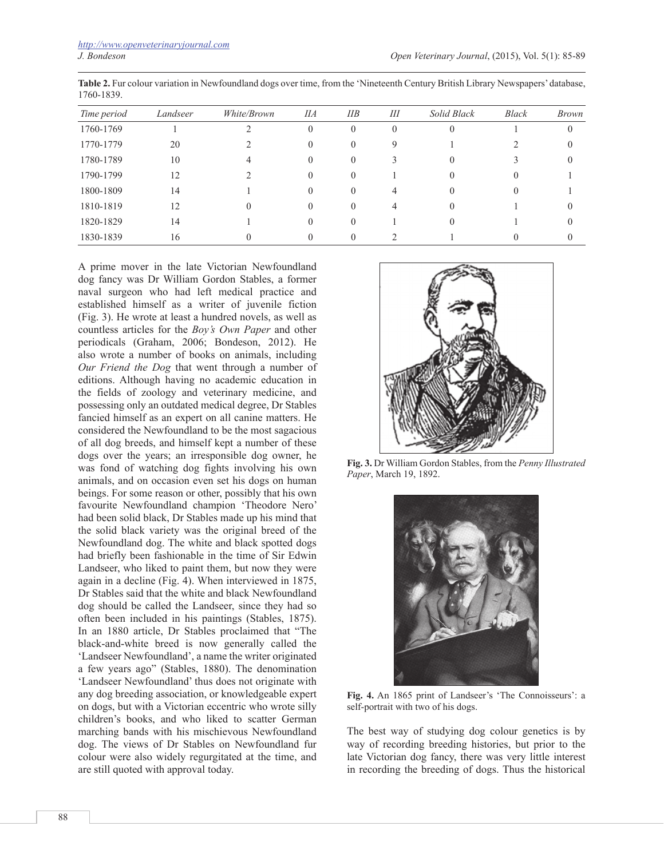| Time period | Landseer | White/Brown | <b>IIA</b> | IIB          | Ш        | Solid Black | Black | <i>Brown</i> |
|-------------|----------|-------------|------------|--------------|----------|-------------|-------|--------------|
| 1760-1769   |          |             | $\Omega$   | $\theta$     | $\theta$ |             |       | $\theta$     |
| 1770-1779   | 20       |             |            | 0            | Q        |             |       | $\Omega$     |
| 1780-1789   | 10       |             |            | $\theta$     |          |             |       |              |
| 1790-1799   | 12       |             |            | $\theta$     |          |             |       |              |
| 1800-1809   | 14       |             | $\theta$   |              |          |             |       |              |
| 1810-1819   | 12       |             | $_{0}$     |              | 4        |             |       |              |
| 1820-1829   | 14       |             | $^{()}$    | $\mathbf{0}$ |          |             |       |              |
| 1830-1839   | 16       |             |            |              |          |             |       |              |

**Table 2.** Fur colour variation in Newfoundland dogs over time, from the 'Nineteenth Century British Library Newspapers' database, 1760-1839.

A prime mover in the late Victorian Newfoundland dog fancy was Dr William Gordon Stables, a former naval surgeon who had left medical practice and established himself as a writer of juvenile fiction (Fig. 3). He wrote at least a hundred novels, as well as countless articles for the *Boy's Own Paper* and other periodicals (Graham, 2006; Bondeson, 2012). He also wrote a number of books on animals, including *Our Friend the Dog* that went through a number of editions. Although having no academic education in the fields of zoology and veterinary medicine, and possessing only an outdated medical degree, Dr Stables fancied himself as an expert on all canine matters. He considered the Newfoundland to be the most sagacious of all dog breeds, and himself kept a number of these dogs over the years; an irresponsible dog owner, he was fond of watching dog fights involving his own animals, and on occasion even set his dogs on human beings. For some reason or other, possibly that his own favourite Newfoundland champion 'Theodore Nero' had been solid black, Dr Stables made up his mind that the solid black variety was the original breed of the Newfoundland dog. The white and black spotted dogs had briefly been fashionable in the time of Sir Edwin Landseer, who liked to paint them, but now they were again in a decline (Fig. 4). When interviewed in 1875, Dr Stables said that the white and black Newfoundland dog should be called the Landseer, since they had so often been included in his paintings (Stables, 1875). In an 1880 article, Dr Stables proclaimed that "The black-and-white breed is now generally called the 'Landseer Newfoundland', a name the writer originated a few years ago" (Stables, 1880). The denomination 'Landseer Newfoundland' thus does not originate with any dog breeding association, or knowledgeable expert on dogs, but with a Victorian eccentric who wrote silly children's books, and who liked to scatter German marching bands with his mischievous Newfoundland dog. The views of Dr Stables on Newfoundland fur colour were also widely regurgitated at the time, and are still quoted with approval today.



**Fig. 3.** Dr William Gordon Stables, from the *Penny Illustrated Paper*, March 19, 1892.



**Fig. 4.** An 1865 print of Landseer's 'The Connoisseurs': a self-portrait with two of his dogs.

The best way of studying dog colour genetics is by way of recording breeding histories, but prior to the late Victorian dog fancy, there was very little interest in recording the breeding of dogs. Thus the historical